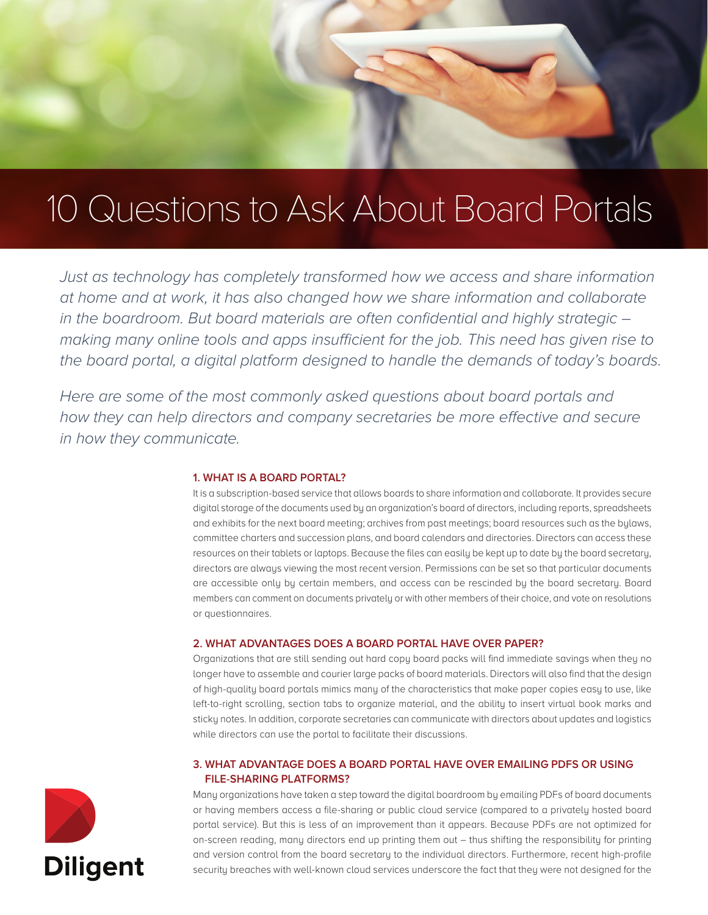

# 10 Questions to Ask About Board Portals

*Just as technology has completely transformed how we access and share information at home and at work, it has also changed how we share information and collaborate in the boardroom. But board materials are often confidential and highly strategic – making many online tools and apps insufficient for the job. This need has given rise to the board portal, a digital platform designed to handle the demands of today's boards.* 

*Here are some of the most commonly asked questions about board portals and how they can help directors and company secretaries be more effective and secure in how they communicate.*

## **1. WHAT IS A BOARD PORTAL?**

It is a subscription-based service that allows boards to share information and collaborate. It provides secure digital storage of the documents used by an organization's board of directors, including reports, spreadsheets and exhibits for the next board meeting; archives from past meetings; board resources such as the bylaws, committee charters and succession plans, and board calendars and directories. Directors can access these resources on their tablets or laptops. Because the files can easily be kept up to date by the board secretary, directors are always viewing the most recent version. Permissions can be set so that particular documents are accessible only by certain members, and access can be rescinded by the board secretary. Board members can comment on documents privately or with other members of their choice, and vote on resolutions or questionnaires.

#### **2. WHAT ADVANTAGES DOES A BOARD PORTAL HAVE OVER PAPER?**

Organizations that are still sending out hard copy board packs will find immediate savings when they no longer have to assemble and courier large packs of board materials. Directors will also find that the design of high-quality board portals mimics many of the characteristics that make paper copies easy to use, like left-to-right scrolling, section tabs to organize material, and the ability to insert virtual book marks and sticky notes. In addition, corporate secretaries can communicate with directors about updates and logistics while directors can use the portal to facilitate their discussions.

## **3. WHAT ADVANTAGE DOES A BOARD PORTAL HAVE OVER EMAILING PDFS OR USING FILE-SHARING PLATFORMS?**

Many organizations have taken a step toward the digital boardroom by emailing PDFs of board documents or having members access a file-sharing or public cloud service (compared to a privately hosted board portal service). But this is less of an improvement than it appears. Because PDFs are not optimized for on-screen reading, many directors end up printing them out – thus shifting the responsibility for printing and version control from the board secretary to the individual directors. Furthermore, recent high-profile security breaches with well-known cloud services underscore the fact that they were not designed for the